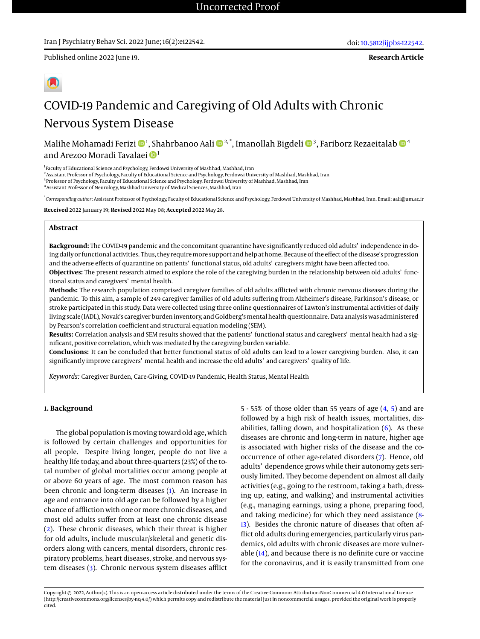**Research Article**



# COVID-19 Pandemic and Caregiving of Old Adults with Chronic Nervous System Disease

Malihe Mohamadi Ferizi <sup>1</sup> , Shahrbanoo Aali 2, \*, Imanollah Bigdeli <sup>3</sup> , Fariborz Rezaeitalab <sup>4</sup> and Arezoo Moradi Tavalaei <sup>1</sup>

<sup>1</sup> Faculty of Educational Science and Psychology, Ferdowsi University of Mashhad, Mashhad, Iran

2 Assistant Professor of Psychology, Faculty of Educational Science and Psychology, Ferdowsi University of Mashhad, Mashhad, Iran

<sup>3</sup> Professor of Psychology, Faculty of Educational Science and Psychology, Ferdowsi University of Mashhad, Mashhad, Iran

4 Assistant Professor of Neurology, Mashhad University of Medical Sciences, Mashhad, Iran

\* *Corresponding author*: Assistant Professor of Psychology, Faculty of Educational Science and Psychology, Ferdowsi University of Mashhad, Mashhad, Iran. Email: aali@um.ac.ir

**Received** 2022 January 19; **Revised** 2022 May 08; **Accepted** 2022 May 28.

#### **Abstract**

**Background:** The COVID-19 pandemic and the concomitant quarantine have significantly reduced old adults' independence in doing daily or functional activities. Thus, they require more support and help at home. Because of the effect of the disease's progression and the adverse effects of quarantine on patients' functional status, old adults' caregivers might have been affected too. **Objectives:** The present research aimed to explore the role of the caregiving burden in the relationship between old adults' functional status and caregivers' mental health.

**Methods:** The research population comprised caregiver families of old adults afflicted with chronic nervous diseases during the pandemic. To this aim, a sample of 249 caregiver families of old adults suffering from Alzheimer's disease, Parkinson's disease, or stroke participated in this study. Data were collected using three online questionnaires of Lawton's instrumental activities of daily living scale (IADL), Novak's caregiver burden inventory, and Goldberg's mental health questionnaire. Data analysis was administered by Pearson's correlation coefficient and structural equation modeling (SEM).

**Results:** Correlation analysis and SEM results showed that the patients' functional status and caregivers' mental health had a significant, positive correlation, which was mediated by the caregiving burden variable.

**Conclusions:** It can be concluded that better functional status of old adults can lead to a lower caregiving burden. Also, it can significantly improve caregivers' mental health and increase the old adults' and caregivers' quality of life.

*Keywords:* Caregiver Burden, Care-Giving, COVID-19 Pandemic, Health Status, Mental Health

## **1. Background**

The global population is moving toward old age, which is followed by certain challenges and opportunities for all people. Despite living longer, people do not live a healthy life today, and about three-quarters (23%) of the total number of global mortalities occur among people at or above 60 years of age. The most common reason has been chronic and long-term diseases [\(1\)](#page-8-0). An increase in age and entrance into old age can be followed by a higher chance of affliction with one or more chronic diseases, and most old adults suffer from at least one chronic disease [\(2\)](#page-8-1). These chronic diseases, which their threat is higher for old adults, include muscular/skeletal and genetic disorders along with cancers, mental disorders, chronic respiratory problems, heart diseases, stroke, and nervous system diseases [\(3\)](#page-8-2). Chronic nervous system diseases afflict

5 - 55% of those older than 55 years of age [\(4,](#page-8-3) [5\)](#page-8-4) and are followed by a high risk of health issues, mortalities, disabilities, falling down, and hospitalization  $(6)$ . As these diseases are chronic and long-term in nature, higher age is associated with higher risks of the disease and the cooccurrence of other age-related disorders [\(7\)](#page-8-6). Hence, old adults' dependence grows while their autonomy gets seriously limited. They become dependent on almost all daily activities (e.g., going to the restroom, taking a bath, dressing up, eating, and walking) and instrumental activities (e.g., managing earnings, using a phone, preparing food, and taking medicine) for which they need assistance [\(8-](#page-8-7) [13\)](#page-8-8). Besides the chronic nature of diseases that often afflict old adults during emergencies, particularly virus pandemics, old adults with chronic diseases are more vulnerable [\(14\)](#page-8-9), and because there is no definite cure or vaccine for the coronavirus, and it is easily transmitted from one

Copyright © 2022, Author(s). This is an open-access article distributed under the terms of the Creative Commons Attribution-NonCommercial 4.0 International License (http://creativecommons.org/licenses/by-nc/4.0/) which permits copy and redistribute the material just in noncommercial usages, provided the original work is properly cited.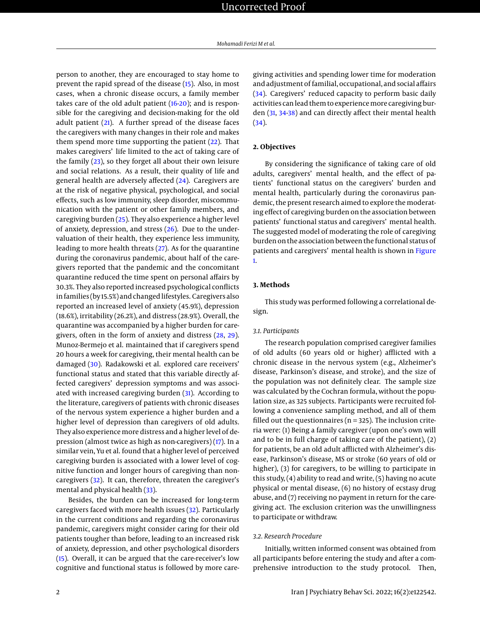person to another, they are encouraged to stay home to prevent the rapid spread of the disease [\(15\)](#page-8-10). Also, in most cases, when a chronic disease occurs, a family member takes care of the old adult patient [\(16](#page-8-11)[-20\)](#page-8-12); and is responsible for the caregiving and decision-making for the old adult patient [\(21\)](#page-8-13). A further spread of the disease faces the caregivers with many changes in their role and makes them spend more time supporting the patient  $(22)$ . That makes caregivers' life limited to the act of taking care of the family [\(23\)](#page-8-15), so they forget all about their own leisure and social relations. As a result, their quality of life and general health are adversely affected [\(24\)](#page-8-16). Caregivers are at the risk of negative physical, psychological, and social effects, such as low immunity, sleep disorder, miscommunication with the patient or other family members, and caregiving burden [\(25\)](#page-8-17). They also experience a higher level of anxiety, depression, and stress [\(26\)](#page-8-18). Due to the undervaluation of their health, they experience less immunity, leading to more health threats [\(27\)](#page-8-19). As for the quarantine during the coronavirus pandemic, about half of the caregivers reported that the pandemic and the concomitant quarantine reduced the time spent on personal affairs by 30.3%. They also reported increased psychological conflicts in families (by 15.5%) and changed lifestyles. Caregivers also reported an increased level of anxiety (45.9%), depression (18.6%), irritability (26.2%), and distress (28.9%). Overall, the quarantine was accompanied by a higher burden for caregivers, often in the form of anxiety and distress [\(28,](#page-8-20) [29\)](#page-8-21). Munoz-Bermejo et al. maintained that if caregivers spend 20 hours a week for caregiving, their mental health can be damaged [\(30\)](#page-8-22). Radakowski et al. explored care receivers' functional status and stated that this variable directly affected caregivers' depression symptoms and was associated with increased caregiving burden [\(31\)](#page-8-23). According to the literature, caregivers of patients with chronic diseases of the nervous system experience a higher burden and a higher level of depression than caregivers of old adults. They also experience more distress and a higher level of depression (almost twice as high as non-caregivers) [\(17\)](#page-8-24). In a similar vein, Yu et al. found that a higher level of perceived caregiving burden is associated with a lower level of cognitive function and longer hours of caregiving than noncaregivers [\(32\)](#page-8-25). It can, therefore, threaten the caregiver's mental and physical health [\(33\)](#page-8-26).

Besides, the burden can be increased for long-term caregivers faced with more health issues [\(32\)](#page-8-25). Particularly in the current conditions and regarding the coronavirus pandemic, caregivers might consider caring for their old patients tougher than before, leading to an increased risk of anxiety, depression, and other psychological disorders [\(15\)](#page-8-10). Overall, it can be argued that the care-receiver's low cognitive and functional status is followed by more caregiving activities and spending lower time for moderation and adjustment of familial, occupational, and social affairs [\(34\)](#page-9-0). Caregivers' reduced capacity to perform basic daily activities can lead them to experience more caregiving burden [\(31,](#page-8-23) [34-](#page-9-0)[38\)](#page-9-1) and can directly affect their mental health [\(34\)](#page-9-0).

# **2. Objectives**

By considering the significance of taking care of old adults, caregivers' mental health, and the effect of patients' functional status on the caregivers' burden and mental health, particularly during the coronavirus pandemic, the present research aimed to explore the moderating effect of caregiving burden on the association between patients' functional status and caregivers' mental health. The suggested model of moderating the role of caregiving burden on the association between the functional status of patients and caregivers' mental health is shown in [Figure](#page-2-0) [1.](#page-2-0)

## **3. Methods**

This study was performed following a correlational design.

# *3.1. Participants*

The research population comprised caregiver families of old adults (60 years old or higher) afflicted with a chronic disease in the nervous system (e.g., Alzheimer's disease, Parkinson's disease, and stroke), and the size of the population was not definitely clear. The sample size was calculated by the Cochran formula, without the population size, as 325 subjects. Participants were recruited following a convenience sampling method, and all of them filled out the questionnaires ( $n = 325$ ). The inclusion criteria were: (1) Being a family caregiver (upon one's own will and to be in full charge of taking care of the patient), (2) for patients, be an old adult afflicted with Alzheimer's disease, Parkinson's disease, MS or stroke (60 years of old or higher), (3) for caregivers, to be willing to participate in this study, (4) ability to read and write, (5) having no acute physical or mental disease, (6) no history of ecstasy drug abuse, and (7) receiving no payment in return for the caregiving act. The exclusion criterion was the unwillingness to participate or withdraw.

# *3.2. Research Procedure*

Initially, written informed consent was obtained from all participants before entering the study and after a comprehensive introduction to the study protocol. Then,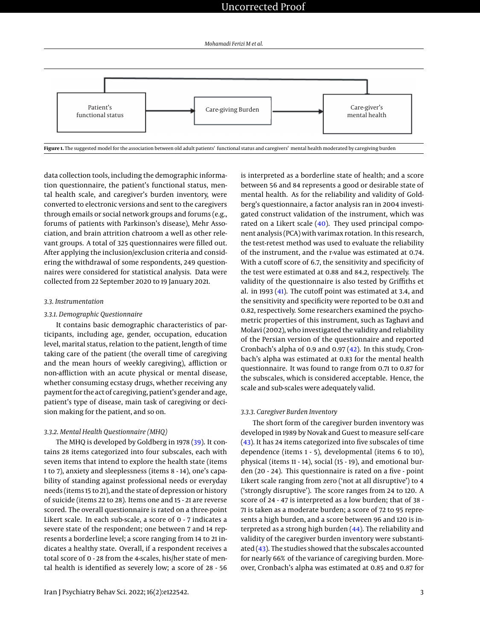<span id="page-2-0"></span>

data collection tools, including the demographic information questionnaire, the patient's functional status, mental health scale, and caregiver's burden inventory, were converted to electronic versions and sent to the caregivers through emails or social network groups and forums (e.g., forums of patients with Parkinson's disease), Mehr Association, and brain attrition chatroom a well as other relevant groups. A total of 325 questionnaires were filled out. After applying the inclusion/exclusion criteria and considering the withdrawal of some respondents, 249 questionnaires were considered for statistical analysis. Data were collected from 22 September 2020 to 19 January 2021.

#### *3.3. Instrumentation*

#### *3.3.1. Demographic Questionnaire*

It contains basic demographic characteristics of participants, including age, gender, occupation, education level, marital status, relation to the patient, length of time taking care of the patient (the overall time of caregiving and the mean hours of weekly caregiving), affliction or non-affliction with an acute physical or mental disease, whether consuming ecstasy drugs, whether receiving any payment for the act of caregiving, patient's gender and age, patient's type of disease, main task of caregiving or decision making for the patient, and so on.

#### *3.3.2. Mental Health Questionnaire (MHQ)*

The MHQ is developed by Goldberg in 1978 [\(39\)](#page-9-2). It contains 28 items categorized into four subscales, each with seven items that intend to explore the health state (items 1 to 7), anxiety and sleeplessness (items 8 - 14), one's capability of standing against professional needs or everyday needs (items 15 to 21), and the state of depression or history of suicide (items 22 to 28). Items one and 15 - 21 are reverse scored. The overall questionnaire is rated on a three-point Likert scale. In each sub-scale, a score of 0 - 7 indicates a severe state of the respondent; one between 7 and 14 represents a borderline level; a score ranging from 14 to 21 indicates a healthy state. Overall, if a respondent receives a total score of 0 - 28 from the 4-scales, his/her state of mental health is identified as severely low; a score of 28 - 56 is interpreted as a borderline state of health; and a score between 56 and 84 represents a good or desirable state of mental health. As for the reliability and validity of Goldberg's questionnaire, a factor analysis ran in 2004 investigated construct validation of the instrument, which was rated on a Likert scale [\(40\)](#page-9-3). They used principal component analysis (PCA) with varimax rotation. In this research, the test-retest method was used to evaluate the reliability of the instrument, and the r-value was estimated at 0.74. With a cutoff score of 6.7, the sensitivity and specificity of the test were estimated at 0.88 and 84.2, respectively. The validity of the questionnaire is also tested by Griffiths et al. in 1993 [\(41\)](#page-9-4). The cutoff point was estimated at 3.4, and the sensitivity and specificity were reported to be 0.81 and 0.82, respectively. Some researchers examined the psychometric properties of this instrument, such as Taghavi and Molavi (2002), who investigated the validity and reliability of the Persian version of the questionnaire and reported Cronbach's alpha of 0.9 and 0.97 [\(42\)](#page-9-5). In this study, Cronbach's alpha was estimated at 0.83 for the mental health questionnaire. It was found to range from 0.71 to 0.87 for the subscales, which is considered acceptable. Hence, the scale and sub-scales were adequately valid.

#### *3.3.3. Caregiver Burden Inventory*

The short form of the caregiver burden inventory was developed in 1989 by Novak and Guest to measure self-care [\(43\)](#page-9-6). It has 24 items categorized into five subscales of time dependence (items 1 - 5), developmental (items 6 to 10), physical (items 11 - 14), social (15 - 19), and emotional burden (20 - 24). This questionnaire is rated on a five - point Likert scale ranging from zero ('not at all disruptive') to 4 ('strongly disruptive'). The score ranges from 24 to 120. A score of 24 - 47 is interpreted as a low burden; that of 38 - 71 is taken as a moderate burden; a score of 72 to 95 represents a high burden, and a score between 96 and 120 is interpreted as a strong high burden [\(44\)](#page-9-7). The reliability and validity of the caregiver burden inventory were substantiated  $(43)$ . The studies showed that the subscales accounted for nearly 66% of the variance of caregiving burden. Moreover, Cronbach's alpha was estimated at 0.85 and 0.87 for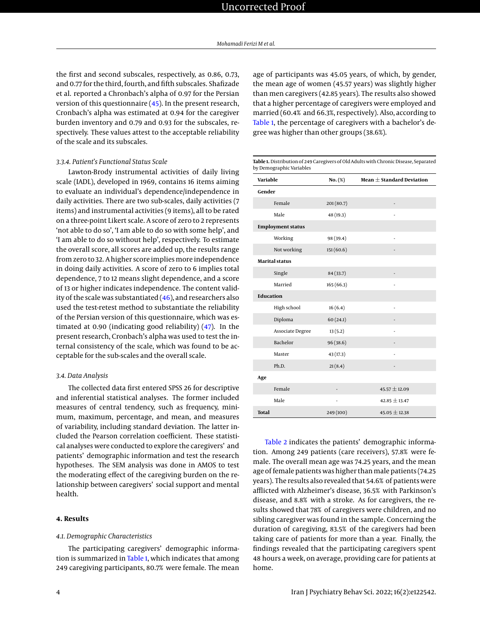the first and second subscales, respectively, as 0.86, 0.73, and 0.77 for the third, fourth, and fifth subscales. Shafizade et al. reported a Chronbach's alpha of 0.97 for the Persian version of this questionnaire [\(45\)](#page-9-8). In the present research, Cronbach's alpha was estimated at 0.94 for the caregiver burden inventory and 0.79 and 0.93 for the subscales, respectively. These values attest to the acceptable reliability of the scale and its subscales.

# *3.3.4. Patient's Functional Status Scale*

Lawton-Brody instrumental activities of daily living scale (IADL), developed in 1969, contains 16 items aiming to evaluate an individual's dependence/independence in daily activities. There are two sub-scales, daily activities (7 items) and instrumental activities (9 items), all to be rated on a three-point Likert scale. A score of zero to 2 represents 'not able to do so', 'I am able to do so with some help', and 'I am able to do so without help', respectively. To estimate the overall score, all scores are added up, the results range from zero to 32. A higher score implies more independence in doing daily activities. A score of zero to 6 implies total dependence, 7 to 12 means slight dependence, and a score of 13 or higher indicates independence. The content validity of the scale was substantiated  $(46)$ , and researchers also used the test-retest method to substantiate the reliability of the Persian version of this questionnaire, which was estimated at 0.90 (indicating good reliability) [\(47\)](#page-9-10). In the present research, Cronbach's alpha was used to test the internal consistency of the scale, which was found to be acceptable for the sub-scales and the overall scale.

## *3.4. Data Analysis*

The collected data first entered SPSS 26 for descriptive and inferential statistical analyses. The former included measures of central tendency, such as frequency, minimum, maximum, percentage, and mean, and measures of variability, including standard deviation. The latter included the Pearson correlation coefficient. These statistical analyses were conducted to explore the caregivers' and patients' demographic information and test the research hypotheses. The SEM analysis was done in AMOS to test the moderating effect of the caregiving burden on the relationship between caregivers' social support and mental health.

### **4. Results**

#### *4.1. Demographic Characteristics*

The participating caregivers' demographic informa-tion is summarized in [Table 1,](#page-3-0) which indicates that among 249 caregiving participants, 80.7% were female. The mean

age of participants was 45.05 years, of which, by gender, the mean age of women (45.57 years) was slightly higher than men caregivers (42.85 years). The results also showed that a higher percentage of caregivers were employed and married (60.4% and 66.3%, respectively). Also, according to [Table 1,](#page-3-0) the percentage of caregivers with a bachelor's degree was higher than other groups (38.6%).

<span id="page-3-0"></span>**Table 1.** Distribution of 249 Caregivers of Old Adults with Chronic Disease, Separated

| Variable         |                          | $No. (\%)$ | Mean $\pm$ Standard Deviation |  |  |
|------------------|--------------------------|------------|-------------------------------|--|--|
| Gender           |                          |            |                               |  |  |
|                  | Female                   | 201 (80.7) |                               |  |  |
|                  | Male                     | 48 (19.3)  | ä,                            |  |  |
|                  | <b>Employment status</b> |            |                               |  |  |
|                  | Working                  | 98 (39.4)  |                               |  |  |
|                  | Not working              | 151(60.6)  |                               |  |  |
|                  | <b>Marital status</b>    |            |                               |  |  |
|                  | Single                   | 84 (33.7)  |                               |  |  |
|                  | Married                  | 165(66.3)  |                               |  |  |
| <b>Education</b> |                          |            |                               |  |  |
|                  | High school              | 16(6.4)    | ÷                             |  |  |
|                  | Diploma                  | 60(24.1)   |                               |  |  |
|                  | Associate Degree         | 13(5.2)    |                               |  |  |
|                  | Bachelor                 | 96 (38.6)  |                               |  |  |
|                  | Master                   | 43 (17.3)  |                               |  |  |
|                  | Ph.D.                    | 21(8.4)    |                               |  |  |
| Age              |                          |            |                               |  |  |
|                  | Female                   |            | $45.57 \pm 12.09$             |  |  |
|                  | Male                     | ٠          | $42.85 \pm 13.47$             |  |  |
| <b>Total</b>     |                          | 249 (100)  | $45.05 \pm 12.38$             |  |  |

[Table 2](#page-4-0) indicates the patients' demographic information. Among 249 patients (care receivers), 57.8% were female. The overall mean age was 74.25 years, and the mean age of female patients was higher than male patients (74.25 years). The results also revealed that 54.6% of patients were afflicted with Alzheimer's disease, 36.5% with Parkinson's disease, and 8.8% with a stroke. As for caregivers, the results showed that 78% of caregivers were children, and no sibling caregiver was found in the sample. Concerning the duration of caregiving, 83.5% of the caregivers had been taking care of patients for more than a year. Finally, the findings revealed that the participating caregivers spent 48 hours a week, on average, providing care for patients at home.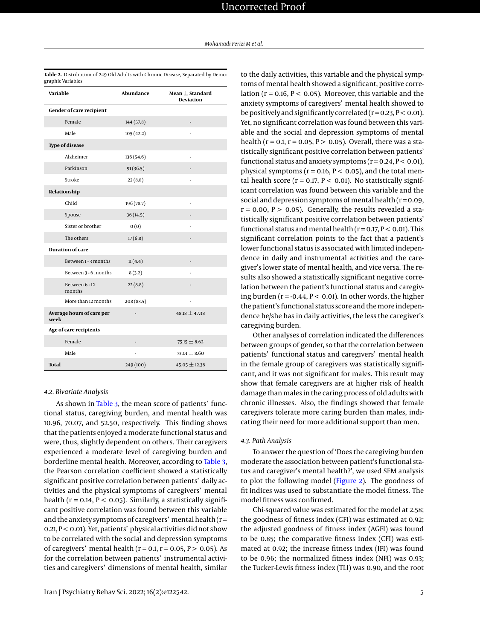| Variable                          | Abundance  | Mean $\pm$ Standard<br><b>Deviation</b> |
|-----------------------------------|------------|-----------------------------------------|
| Gender of care recipient          |            |                                         |
| Female                            | 144(57.8)  |                                         |
| Male                              | 105(42.2)  |                                         |
| <b>Type of disease</b>            |            |                                         |
| Alzheimer                         | 136 (54.6) |                                         |
| Parkinson                         | 91(36.5)   |                                         |
| Stroke                            | 22(8.8)    |                                         |
| Relationship                      |            |                                         |
| Child                             | 196 (78.7) |                                         |
| Spouse                            | 36(14.5)   |                                         |
| Sister or brother                 | 0(0)       |                                         |
| The others                        | 17(6.8)    |                                         |
| <b>Duration of care</b>           |            |                                         |
| Between 1 - 3 months              | 11(4.4)    |                                         |
| Between 3 - 6 months              | 8(3.2)     |                                         |
| Between 6 - 12<br>months          | 22(8.8)    |                                         |
| More than 12 months               | 208(83.5)  |                                         |
| Average hours of care per<br>week |            | $48.18 \pm 47.38$                       |
| Age of care recipients            |            |                                         |
| Female                            |            | $75.15 \pm 8.62$                        |
| Male                              |            | $73.01 \pm 8.60$                        |
| <b>Total</b>                      | 249 (100)  | $45.05 \pm 12.38$                       |

<span id="page-4-0"></span>**Table 2.** Distribution of 249 Old Adults with Chronic Disease, Separated by Demographic Variables

#### *4.2. Bivariate Analysis*

As shown in [Table 3,](#page-5-0) the mean score of patients' functional status, caregiving burden, and mental health was 10.96, 70.07, and 52.50, respectively. This finding shows that the patients enjoyed a moderate functional status and were, thus, slightly dependent on others. Their caregivers experienced a moderate level of caregiving burden and borderline mental health. Moreover, according to [Table 3,](#page-5-0) the Pearson correlation coefficient showed a statistically significant positive correlation between patients' daily activities and the physical symptoms of caregivers' mental health ( $r = 0.14$ ,  $P < 0.05$ ). Similarly, a statistically significant positive correlation was found between this variable and the anxiety symptoms of caregivers' mental health  $(r =$ 0.21, P < 0.01). Yet, patients' physical activities did not show to be correlated with the social and depression symptoms of caregivers' mental health ( $r = 0.1$ ,  $r = 0.05$ ,  $P > 0.05$ ). As for the correlation between patients' instrumental activities and caregivers' dimensions of mental health, similar

to the daily activities, this variable and the physical symptoms of mental health showed a significant, positive correlation ( $r = 0.16$ ,  $P < 0.05$ ). Moreover, this variable and the anxiety symptoms of caregivers' mental health showed to be positively and significantly correlated ( $r = 0.23$ ,  $P < 0.01$ ). Yet, no significant correlation was found between this variable and the social and depression symptoms of mental health ( $r = 0.1$ ,  $r = 0.05$ ,  $P > 0.05$ ). Overall, there was a statistically significant positive correlation between patients' functional status and anxiety symptoms  $(r = 0.24, P < 0.01)$ , physical symptoms ( $r = 0.16$ ,  $P < 0.05$ ), and the total mental health score ( $r = 0.17$ ,  $P < 0.01$ ). No statistically significant correlation was found between this variable and the social and depression symptoms of mental health  $(r=0.09, r=0.09)$  $r = 0.00$ ,  $P > 0.05$ ). Generally, the results revealed a statistically significant positive correlation between patients' functional status and mental health ( $r = 0.17$ ,  $P < 0.01$ ). This significant correlation points to the fact that a patient's lower functional status is associated with limited independence in daily and instrumental activities and the caregiver's lower state of mental health, and vice versa. The results also showed a statistically significant negative correlation between the patient's functional status and caregiving burden ( $r = -0.44$ ,  $P < 0.01$ ). In other words, the higher the patient's functional status score and the more independence he/she has in daily activities, the less the caregiver's caregiving burden.

Other analyses of correlation indicated the differences between groups of gender, so that the correlation between patients' functional status and caregivers' mental health in the female group of caregivers was statistically significant, and it was not significant for males. This result may show that female caregivers are at higher risk of health damage than males in the caring process of old adults with chronic illnesses. Also, the findings showed that female caregivers tolerate more caring burden than males, indicating their need for more additional support than men.

#### *4.3. Path Analysis*

To answer the question of 'Does the caregiving burden moderate the association between patient's functional status and caregiver's mental health?', we used SEM analysis to plot the following model [\(Figure 2\)](#page-5-1). The goodness of fit indices was used to substantiate the model fitness. The model fitness was confirmed.

Chi-squared value was estimated for the model at 2.58; the goodness of fitness index (GFI) was estimated at 0.92; the adjusted goodness of fitness index (AGFI) was found to be 0.85; the comparative fitness index (CFI) was estimated at 0.92; the increase fitness index (IFI) was found to be 0.96; the normalized fitness index (NFI) was 0.93; the Tucker-Lewis fitness index (TLI) was 0.90, and the root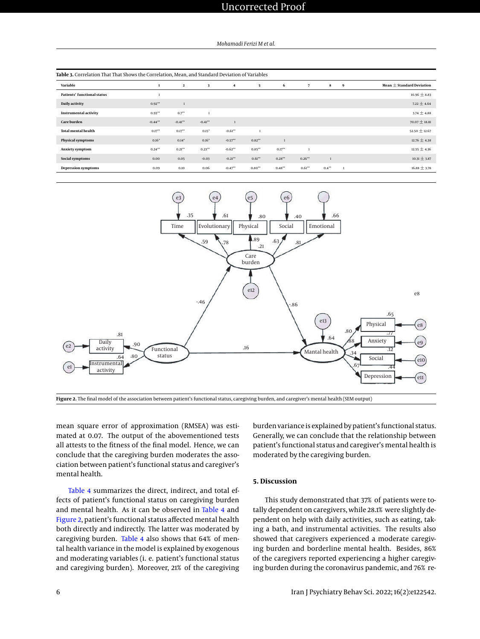<span id="page-5-0"></span>

| Table 3. Correlation That That Shows the Correlation, Mean, and Standard Deviation of Variables |           |              |              |                         |           |           |           |              |   |                               |
|-------------------------------------------------------------------------------------------------|-----------|--------------|--------------|-------------------------|-----------|-----------|-----------|--------------|---|-------------------------------|
| Variable                                                                                        |           | $\mathbf{2}$ | 3            | $\overline{\mathbf{4}}$ | - 5       | 6         | 7         | 8            | 9 | Mean $\pm$ Standard Deviation |
| Patients' functional status                                                                     |           |              |              |                         |           |           |           |              |   | $10.96 \pm 8.83$              |
| Daily activity                                                                                  | $0.92**$  |              |              |                         |           |           |           |              |   | $7.22 \pm 4.64$               |
| <b>Instrumental activity</b>                                                                    | $0.93**$  | $0.7**$      | $\mathbf{1}$ |                         |           |           |           |              |   | $3.74 \pm 4.88$               |
| Care burden                                                                                     | $-0.44**$ | $-0.41**$    | $-0.41**$    |                         |           |           |           |              |   | $70.07 \pm 18.81$             |
| <b>Total mental health</b>                                                                      | $0.17***$ | $0.17***$    | $0.15*$      | $-0.61**$               |           |           |           |              |   | 52.50 $\pm$ 12.67             |
| Physical symptoms                                                                               | $0.16*$   | $0.14*$      | $0.16*$      | $-0.57**$               | $0.82***$ |           |           |              |   | $12.76 \pm 4.38$              |
| Anxiety symptom                                                                                 | $0.24**$  | $0.21***$    | $0.23***$    | $-0.62**$               | $0.85***$ | $0.17***$ |           |              |   | $12.55 \pm 4.36$              |
| Social symptoms                                                                                 | 0.00      | 0.05         | $-0.03$      | $-0.21***$              | $0.61***$ | $0.28**$  | $0.26***$ | $\mathbf{1}$ |   | $10.31 \pm 3.87$              |
| <b>Depression symptoms</b>                                                                      | 0.09      | 0.10         | 0.06         | $-0.47**$               | $0.80**$  | $0.48***$ | $0.61***$ | $0.4***$     |   | $16.88 \pm 3.78$              |

<span id="page-5-1"></span>

**Figure 2.** The final model of the association between patient's functional status, caregiving burden, and caregiver's mental health (SEM output)

mean square error of approximation (RMSEA) was estimated at 0.07. The output of the abovementioned tests all attests to the fitness of the final model. Hence, we can conclude that the caregiving burden moderates the association between patient's functional status and caregiver's mental health.

[Table 4](#page-6-0) summarizes the direct, indirect, and total effects of patient's functional status on caregiving burden and mental health. As it can be observed in [Table 4](#page-6-0) and [Figure 2,](#page-5-1) patient's functional status affected mental health both directly and indirectly. The latter was moderated by caregiving burden. [Table 4](#page-6-0) also shows that 64% of mental health variance in the model is explained by exogenous and moderating variables (i. e. patient's functional status and caregiving burden). Moreover, 21% of the caregiving burden variance is explained by patient's functional status. Generally, we can conclude that the relationship between patient's functional status and caregiver's mental health is moderated by the caregiving burden.

## **5. Discussion**

This study demonstrated that 37% of patients were totally dependent on caregivers, while 28.1% were slightly dependent on help with daily activities, such as eating, taking a bath, and instrumental activities. The results also showed that caregivers experienced a moderate caregiving burden and borderline mental health. Besides, 86% of the caregivers reported experiencing a higher caregiving burden during the coronavirus pandemic, and 76% re-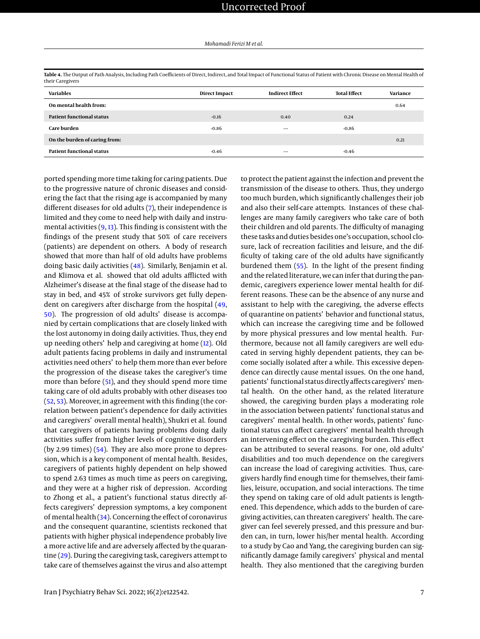<span id="page-6-0"></span>

|                  |  | Table 4. The Output of Path Analysis, Including Path Coefficients of Direct, Indirect, and Total Impact of Functional Status of Patient with Chronic Disease on Mental Health of |  |
|------------------|--|----------------------------------------------------------------------------------------------------------------------------------------------------------------------------------|--|
| their Caregivers |  |                                                                                                                                                                                  |  |

| <b>Variables</b>                 | <b>Direct Impact</b> | <b>Indirect Effect</b> | <b>Total Effect</b> | Variance |
|----------------------------------|----------------------|------------------------|---------------------|----------|
| On mental health from:           |                      |                        |                     | 0.64     |
| <b>Patient functional status</b> | $-0.16$              | 0.40                   | 0.24                |          |
| Care burden                      | $-0.86$              | -                      | $-0.86$             |          |
| On the burden of caring from:    |                      |                        |                     | 0.21     |
| Patient functional status        | $-0.46$              | -                      | $-0.46$             |          |

ported spending more time taking for caring patients. Due to the progressive nature of chronic diseases and considering the fact that the rising age is accompanied by many different diseases for old adults [\(7\)](#page-8-6), their independence is limited and they come to need help with daily and instrumental activities  $(9, 13)$  $(9, 13)$  $(9, 13)$ . This finding is consistent with the findings of the present study that 50% of care receivers (patients) are dependent on others. A body of research showed that more than half of old adults have problems doing basic daily activities [\(48\)](#page-9-11). Similarly, Benjamin et al. and Klimova et al. showed that old adults afflicted with Alzheimer's disease at the final stage of the disease had to stay in bed, and 45% of stroke survivors get fully dependent on caregivers after discharge from the hospital [\(49,](#page-9-12) [50\)](#page-9-13). The progression of old adults' disease is accompanied by certain complications that are closely linked with the lost autonomy in doing daily activities. Thus, they end up needing others' help and caregiving at home [\(12\)](#page-8-28). Old adult patients facing problems in daily and instrumental activities need others' to help them more than ever before the progression of the disease takes the caregiver's time more than before [\(51\)](#page-9-14), and they should spend more time taking care of old adults probably with other diseases too [\(52,](#page-9-15) [53\)](#page-9-16). Moreover, in agreement with this finding (the correlation between patient's dependence for daily activities and caregivers' overall mental health), Shukri et al. found that caregivers of patients having problems doing daily activities suffer from higher levels of cognitive disorders (by 2.99 times) [\(54\)](#page-9-17). They are also more prone to depression, which is a key component of mental health. Besides, caregivers of patients highly dependent on help showed to spend 2.63 times as much time as peers on caregiving, and they were at a higher risk of depression. According to Zhong et al., a patient's functional status directly affects caregivers' depression symptoms, a key component of mental health  $(34)$ . Concerning the effect of coronavirus and the consequent quarantine, scientists reckoned that patients with higher physical independence probably live a more active life and are adversely affected by the quarantine [\(29\)](#page-8-21). During the caregiving task, caregivers attempt to take care of themselves against the virus and also attempt

to protect the patient against the infection and prevent the transmission of the disease to others. Thus, they undergo too much burden, which significantly challenges their job and also their self-care attempts. Instances of these challenges are many family caregivers who take care of both their children and old parents. The difficulty of managing these tasks and duties besides one's occupation, school closure, lack of recreation facilities and leisure, and the difficulty of taking care of the old adults have significantly burdened them [\(55\)](#page-9-18). In the light of the present finding and the related literature, we can infer that during the pandemic, caregivers experience lower mental health for different reasons. These can be the absence of any nurse and assistant to help with the caregiving, the adverse effects of quarantine on patients' behavior and functional status, which can increase the caregiving time and be followed by more physical pressures and low mental health. Furthermore, because not all family caregivers are well educated in serving highly dependent patients, they can become socially isolated after a while. This excessive dependence can directly cause mental issues. On the one hand, patients' functional status directly affects caregivers' mental health. On the other hand, as the related literature showed, the caregiving burden plays a moderating role in the association between patients' functional status and caregivers' mental health. In other words, patients' functional status can affect caregivers' mental health through an intervening effect on the caregiving burden. This effect can be attributed to several reasons. For one, old adults' disabilities and too much dependence on the caregivers can increase the load of caregiving activities. Thus, caregivers hardly find enough time for themselves, their families, leisure, occupation, and social interactions. The time they spend on taking care of old adult patients is lengthened. This dependence, which adds to the burden of caregiving activities, can threaten caregivers' health. The caregiver can feel severely pressed, and this pressure and burden can, in turn, lower his/her mental health. According to a study by Cao and Yang, the caregiving burden can significantly damage family caregivers' physical and mental health. They also mentioned that the caregiving burden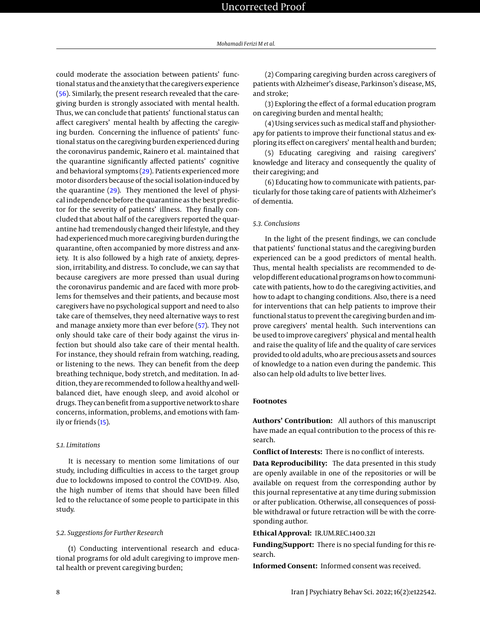could moderate the association between patients' functional status and the anxiety that the caregivers experience [\(56\)](#page-9-19). Similarly, the present research revealed that the caregiving burden is strongly associated with mental health. Thus, we can conclude that patients' functional status can affect caregivers' mental health by affecting the caregiving burden. Concerning the influence of patients' functional status on the caregiving burden experienced during the coronavirus pandemic, Rainero et al. maintained that the quarantine significantly affected patients' cognitive and behavioral symptoms [\(29\)](#page-8-21). Patients experienced more motor disorders because of the social isolation-induced by the quarantine [\(29\)](#page-8-21). They mentioned the level of physical independence before the quarantine as the best predictor for the severity of patients' illness. They finally concluded that about half of the caregivers reported the quarantine had tremendously changed their lifestyle, and they had experienced much more caregiving burden during the quarantine, often accompanied by more distress and anxiety. It is also followed by a high rate of anxiety, depression, irritability, and distress. To conclude, we can say that because caregivers are more pressed than usual during the coronavirus pandemic and are faced with more problems for themselves and their patients, and because most caregivers have no psychological support and need to also take care of themselves, they need alternative ways to rest and manage anxiety more than ever before [\(57\)](#page-9-20). They not only should take care of their body against the virus infection but should also take care of their mental health. For instance, they should refrain from watching, reading, or listening to the news. They can benefit from the deep breathing technique, body stretch, and meditation. In addition, they are recommended to follow a healthy and wellbalanced diet, have enough sleep, and avoid alcohol or drugs. They can benefit from a supportive network to share concerns, information, problems, and emotions with family or friends [\(15\)](#page-8-10).

## *5.1. Limitations*

It is necessary to mention some limitations of our study, including difficulties in access to the target group due to lockdowns imposed to control the COVID-19. Also, the high number of items that should have been filled led to the reluctance of some people to participate in this study.

## *5.2. Suggestions for Further Research*

**(**1) Conducting interventional research and educational programs for old adult caregiving to improve mental health or prevent caregiving burden;

(2) Comparing caregiving burden across caregivers of patients with Alzheimer's disease, Parkinson's disease, MS, and stroke;

(3) Exploring the effect of a formal education program on caregiving burden and mental health;

(4) Using services such as medical staff and physiotherapy for patients to improve their functional status and exploring its effect on caregivers' mental health and burden;

(5) Educating caregiving and raising caregivers' knowledge and literacy and consequently the quality of their caregiving; and

(6) Educating how to communicate with patients, particularly for those taking care of patients with Alzheimer's of dementia.

## *5.3. Conclusions*

In the light of the present findings, we can conclude that patients' functional status and the caregiving burden experienced can be a good predictors of mental health. Thus, mental health specialists are recommended to develop different educational programs on how to communicate with patients, how to do the caregiving activities, and how to adapt to changing conditions. Also, there is a need for interventions that can help patients to improve their functional status to prevent the caregiving burden and improve caregivers' mental health. Such interventions can be used to improve caregivers' physical and mental health and raise the quality of life and the quality of care services provided to old adults, who are precious assets and sources of knowledge to a nation even during the pandemic. This also can help old adults to live better lives.

# **Footnotes**

**Authors' Contribution:** All authors of this manuscript have made an equal contribution to the process of this research.

**Conflict of Interests:** There is no conflict of interests.

**Data Reproducibility:** The data presented in this study are openly available in one of the repositories or will be available on request from the corresponding author by this journal representative at any time during submission or after publication. Otherwise, all consequences of possible withdrawal or future retraction will be with the corresponding author.

**Ethical Approval:** IR.UM.REC.1400.321

**Funding/Support:** There is no special funding for this research.

**Informed Consent:** Informed consent was received.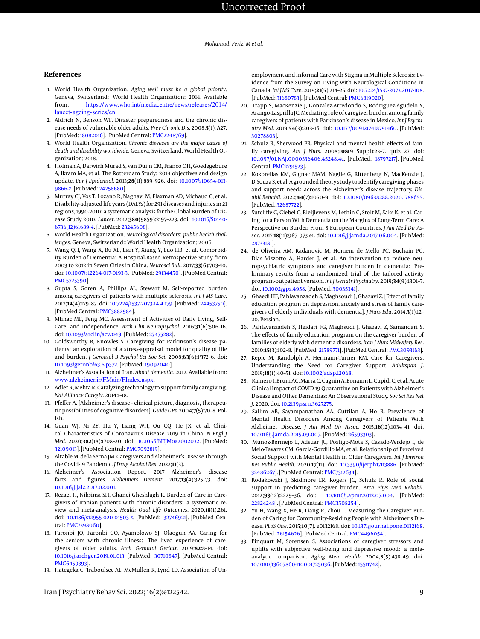## **References**

- <span id="page-8-0"></span>1. World Health Organization. *Aging well must be a global priority*. Geneva, Switzerland: World Health Organization; 2014. Available from: [https://www.who.int/mediacentre/news/releases/2014/](https://www.who.int/mediacentre/news/releases/2014/lancet-ageing-series/en) [lancet-ageing-series/en](https://www.who.int/mediacentre/news/releases/2014/lancet-ageing-series/en).
- <span id="page-8-1"></span>2. Aldrich N, Benson WF. Disaster preparedness and the chronic disease needs of vulnerable older adults. *Prev Chronic Dis*. 2008;**5**(1). A27. [PubMed: [18082016\]](http://www.ncbi.nlm.nih.gov/pubmed/18082016). [PubMed Central: [PMC2248769\]](https://www.ncbi.nlm.nih.gov/pmc/articles/PMC2248769).
- <span id="page-8-2"></span>3. World Health Organization. *Chronic diseases are the major cause of death and disability worldwide*. Geneva, Switzerland: World Health Organization; 2018.
- <span id="page-8-3"></span>4. Hofman A, Darwish Murad S, van Duijn CM, Franco OH, Goedegebure A, Ikram MA, et al. The Rotterdam Study: 2014 objectives and design update. *Eur J Epidemiol*. 2013;**28**(11):889–926. doi: [10.1007/s10654-013-](http://dx.doi.org/10.1007/s10654-013-9866-z) [9866-z.](http://dx.doi.org/10.1007/s10654-013-9866-z) [PubMed: [24258680\]](http://www.ncbi.nlm.nih.gov/pubmed/24258680).
- <span id="page-8-4"></span>5. Murray CJ, Vos T, Lozano R, Naghavi M, Flaxman AD, Michaud C, et al. Disability-adjusted life years (DALYs) for 291 diseases and injuries in 21 regions, 1990-2010: a systematic analysis for the Global Burden of Disease Study 2010. *Lancet*. 2012;**380**(9859):2197–223. doi: [10.1016/S0140-](http://dx.doi.org/10.1016/S0140-6736(12)61689-4) [6736\(12\)61689-4.](http://dx.doi.org/10.1016/S0140-6736(12)61689-4) [PubMed: [23245608\]](http://www.ncbi.nlm.nih.gov/pubmed/23245608).
- <span id="page-8-5"></span>6. World Health Organization. *Neurological disorders: public health challenges*. Geneva, Switzerland:: World Health Organization; 2006.
- <span id="page-8-6"></span>7. Wang QH, Wang X, Bu XL, Lian Y, Xiang Y, Luo HB, et al. Comorbidity Burden of Dementia: A Hospital-Based Retrospective Study from 2003 to 2012 in Seven Cities in China. *Neurosci Bull*. 2017;**33**(6):703–10. doi: [10.1007/s12264-017-0193-3.](http://dx.doi.org/10.1007/s12264-017-0193-3) [PubMed: [29134450\]](http://www.ncbi.nlm.nih.gov/pubmed/29134450). [PubMed Central: [PMC5725390\]](https://www.ncbi.nlm.nih.gov/pmc/articles/PMC5725390).
- <span id="page-8-7"></span>8. Gupta S, Goren A, Phillips AL, Stewart M. Self-reported burden among caregivers of patients with multiple sclerosis. *Int J MS Care*. 2012;**14**(4):179–87. doi: [10.7224/1537-2073-14.4.179.](http://dx.doi.org/10.7224/1537-2073-14.4.179) [PubMed: [24453750\]](http://www.ncbi.nlm.nih.gov/pubmed/24453750). [PubMed Central: [PMC3882984\]](https://www.ncbi.nlm.nih.gov/pmc/articles/PMC3882984).
- <span id="page-8-27"></span>9. Mlinac ME, Feng MC. Assessment of Activities of Daily Living, Self-Care, and Independence. *Arch Clin Neuropsychol*. 2016;**31**(6):506–16. doi: [10.1093/arclin/acw049.](http://dx.doi.org/10.1093/arclin/acw049) [PubMed: [27475282\]](http://www.ncbi.nlm.nih.gov/pubmed/27475282).
- 10. Goldsworthy B, Knowles S. Caregiving for Parkinson's disease patients: an exploration of a stress-appraisal model for quality of life and burden. *J Gerontol B Psychol Sci Soc Sci*. 2008;**63**(6):P372–6. doi: [10.1093/geronb/63.6.p372.](http://dx.doi.org/10.1093/geronb/63.6.p372) [PubMed: [19092040\]](http://www.ncbi.nlm.nih.gov/pubmed/19092040).
- 11. Alzheimer's Association of Iran. *About dementia*. 2012. Available from: <www.alzheimer.ir/FMain/FIndex.aspx>.
- <span id="page-8-28"></span>12. Adler R, Mehta R. Catalyzing technology to support family caregiving. *Nat Alliance Caregiv*. 2014:1–18.
- <span id="page-8-8"></span>13. Pfeffer A. [Alzheimer's disease - clinical picture, diagnosis, therapeutic possibilities of cognitive disorders]. *Guide GPs*. 2004;**7**(5):70–8. Polish.
- <span id="page-8-9"></span>14. Guan WJ, Ni ZY, Hu Y, Liang WH, Ou CQ, He JX, et al. Clinical Characteristics of Coronavirus Disease 2019 in China. *N Engl J Med*. 2020;**382**(18):1708–20. doi: [10.1056/NEJMoa2002032.](http://dx.doi.org/10.1056/NEJMoa2002032) [PubMed: [32109013\]](http://www.ncbi.nlm.nih.gov/pubmed/32109013). [PubMed Central: [PMC7092819\]](https://www.ncbi.nlm.nih.gov/pmc/articles/PMC7092819).
- <span id="page-8-10"></span>15. Altable M, de la Serna JM. Caregivers and Alzheimer's Disease Through the Covid-19 Pandemic. *J Drug Alcohol Res*. 2022;**11**(3).
- <span id="page-8-11"></span>16. Alzheimer's Association Report. 2017 Alzheimer's disease facts and figures. *Alzheimers Dement*. 2017;**13**(4):325–73. doi: [10.1016/j.jalz.2017.02.001.](http://dx.doi.org/10.1016/j.jalz.2017.02.001)
- <span id="page-8-24"></span>17. Rezaei H, Niksima SH, Ghanei Gheshlagh R. Burden of Care in Caregivers of Iranian patients with chronic disorders: a systematic review and meta-analysis. *Health Qual Life Outcomes*. 2020;**18**(1):261. doi: [10.1186/s12955-020-01503-z.](http://dx.doi.org/10.1186/s12955-020-01503-z) [PubMed: [32746921\]](http://www.ncbi.nlm.nih.gov/pubmed/32746921). [PubMed Central: [PMC7398060\]](https://www.ncbi.nlm.nih.gov/pmc/articles/PMC7398060).
- 18. Faronbi JO, Faronbi GO, Ayamolowo SJ, Olaogun AA. Caring for the seniors with chronic illness: The lived experience of caregivers of older adults. *Arch Gerontol Geriatr*. 2019;**82**:8–14. doi: [10.1016/j.archger.2019.01.013.](http://dx.doi.org/10.1016/j.archger.2019.01.013) [PubMed: [30710847\]](http://www.ncbi.nlm.nih.gov/pubmed/30710847). [PubMed Central: [PMC6459393\]](https://www.ncbi.nlm.nih.gov/pmc/articles/PMC6459393).
- 19. Hategeka C, Traboulsee AL, McMullen K, Lynd LD. Association of Un-

employment and Informal Care with Stigma in Multiple Sclerosis: Evidence from the Survey on Living with Neurological Conditions in Canada. *Int J MS Care*. 2019;**21**(5):214–25. doi: [10.7224/1537-2073.2017-108.](http://dx.doi.org/10.7224/1537-2073.2017-108) [PubMed: [31680783\]](http://www.ncbi.nlm.nih.gov/pubmed/31680783). [PubMed Central: [PMC6819020\]](https://www.ncbi.nlm.nih.gov/pmc/articles/PMC6819020).

- <span id="page-8-12"></span>20. Trapp S, MacKenzie J, Gonzalez-Arredondo S, Rodriguez-Agudelo Y, Arango-Lasprilla JC. Mediating role of caregiver burden among family caregivers of patients with Parkinson's disease in Mexico. *Int J Psychiatry Med*. 2019;**54**(3):203–16. doi: [10.1177/0091217418791460.](http://dx.doi.org/10.1177/0091217418791460) [PubMed: [30278803\]](http://www.ncbi.nlm.nih.gov/pubmed/30278803).
- <span id="page-8-13"></span>21. Schulz R, Sherwood PR. Physical and mental health effects of family caregiving. *Am J Nurs*. 2008;**108**(9 Suppl):23–7. quiz 27. doi: [10.1097/01.NAJ.0000336406.45248.4c.](http://dx.doi.org/10.1097/01.NAJ.0000336406.45248.4c) [PubMed: [18797217\]](http://www.ncbi.nlm.nih.gov/pubmed/18797217). [PubMed Central: [PMC2791523\]](https://www.ncbi.nlm.nih.gov/pmc/articles/PMC2791523).
- <span id="page-8-14"></span>22. Kokorelias KM, Gignac MAM, Naglie G, Rittenberg N, MacKenzie J, D'Souza S, et al. A grounded theory study to identify caregiving phases and support needs across the Alzheimer's disease trajectory. *Disabil Rehabil*. 2022;**44**(7):1050–9. doi: [10.1080/09638288.2020.1788655.](http://dx.doi.org/10.1080/09638288.2020.1788655) [PubMed: [32687722\]](http://www.ncbi.nlm.nih.gov/pubmed/32687722).
- <span id="page-8-15"></span>23. Sutcliffe C, Giebel C, Bleijlevens M, Lethin C, Stolt M, Saks K, et al. Caring for a Person With Dementia on the Margins of Long-Term Care: A Perspective on Burden From 8 European Countries. *J Am Med Dir Assoc*. 2017;**18**(11):967–973 e1. doi: [10.1016/j.jamda.2017.06.004.](http://dx.doi.org/10.1016/j.jamda.2017.06.004) [PubMed: [28733181\]](http://www.ncbi.nlm.nih.gov/pubmed/28733181).
- <span id="page-8-16"></span>24. de Oliveira AM, Radanovic M, Homem de Mello PC, Buchain PC, Dias Vizzotto A, Harder J, et al. An intervention to reduce neuropsychiatric symptoms and caregiver burden in dementia: Preliminary results from a randomized trial of the tailored activity program-outpatient version. *Int J Geriatr Psychiatry*. 2019;**34**(9):1301–7. doi: [10.1002/gps.4958.](http://dx.doi.org/10.1002/gps.4958) [PubMed: [30035341\]](http://www.ncbi.nlm.nih.gov/pubmed/30035341).
- <span id="page-8-17"></span>25. Ghaedi HF, Pahlavanzadeh S, Maghsoudi J, Ghazavi Z. [Effect of family education program on depression, anxiety and stress of family caregivers of elderly individuals with dementia]. *J Nurs Edu*. 2014;**3**(1):12– 20. Persian.
- <span id="page-8-18"></span>26. Pahlavanzadeh S, Heidari FG, Maghsudi J, Ghazavi Z, Samandari S. The effects of family education program on the caregiver burden of families of elderly with dementia disorders. *Iran J Nurs Midwifery Res*. 2010;**15**(3):102–8. [PubMed: [21589771\]](http://www.ncbi.nlm.nih.gov/pubmed/21589771). [PubMed Central: [PMC3093163\]](https://www.ncbi.nlm.nih.gov/pmc/articles/PMC3093163).
- <span id="page-8-19"></span>27. Kepic M, Randolph A, Hermann-Turner KM. Care for Caregivers: Understanding the Need for Caregiver Support. *Adultspan J*. 2019;**18**(1):40–51. doi: [10.1002/adsp.12068.](http://dx.doi.org/10.1002/adsp.12068)
- <span id="page-8-20"></span>28. Rainero I, Bruni AC, Marra C, Cagnin A, Bonanni L, Cupidi C, et al. Acute Clinical Impact of COVID-19 Quarantine on Patients with Alzheimer's Disease and Other Dementias: An Observational Study. *Soc Sci Res Net J*. 2020. doi: [10.2139/ssrn.3627275.](http://dx.doi.org/10.2139/ssrn.3627275)
- <span id="page-8-21"></span>29. Sallim AB, Sayampanathan AA, Cuttilan A, Ho R. Prevalence of Mental Health Disorders Among Caregivers of Patients With Alzheimer Disease. *J Am Med Dir Assoc*. 2015;**16**(12):1034–41. doi: [10.1016/j.jamda.2015.09.007.](http://dx.doi.org/10.1016/j.jamda.2015.09.007) [PubMed: [26593303\]](http://www.ncbi.nlm.nih.gov/pubmed/26593303).
- <span id="page-8-22"></span>30. Munoz-Bermejo L, Adsuar JC, Postigo-Mota S, Casado-Verdejo I, de Melo-Tavares CM, Garcia-Gordillo MA, et al. Relationship of Perceived Social Support with Mental Health in Older Caregivers. *Int J Environ Res Public Health*. 2020;**17**(11). doi: [10.3390/ijerph17113886.](http://dx.doi.org/10.3390/ijerph17113886) [PubMed: [32486267\]](http://www.ncbi.nlm.nih.gov/pubmed/32486267). [PubMed Central: [PMC7312634\]](https://www.ncbi.nlm.nih.gov/pmc/articles/PMC7312634).
- <span id="page-8-23"></span>31. Rodakowski J, Skidmore ER, Rogers JC, Schulz R. Role of social support in predicting caregiver burden. *Arch Phys Med Rehabil*. 2012;**93**(12):2229–36. doi: [10.1016/j.apmr.2012.07.004.](http://dx.doi.org/10.1016/j.apmr.2012.07.004) [PubMed: [22824248\]](http://www.ncbi.nlm.nih.gov/pubmed/22824248). [PubMed Central: [PMC3508254\]](https://www.ncbi.nlm.nih.gov/pmc/articles/PMC3508254).
- <span id="page-8-25"></span>32. Yu H, Wang X, He R, Liang R, Zhou L. Measuring the Caregiver Burden of Caring for Community-Residing People with Alzheimer's Disease. *PLoS One*. 2015;**10**(7). e0132168. doi: [10.1371/journal.pone.0132168.](http://dx.doi.org/10.1371/journal.pone.0132168) [PubMed: [26154626\]](http://www.ncbi.nlm.nih.gov/pubmed/26154626). [PubMed Central: [PMC4496054\]](https://www.ncbi.nlm.nih.gov/pmc/articles/PMC4496054).
- <span id="page-8-26"></span>33. Pinquart M, Sorensen S. Associations of caregiver stressors and uplifts with subjective well-being and depressive mood: a metaanalytic comparison. *Aging Ment Health*. 2004;**8**(5):438–49. doi: [10.1080/13607860410001725036.](http://dx.doi.org/10.1080/13607860410001725036) [PubMed: [15511742\]](http://www.ncbi.nlm.nih.gov/pubmed/15511742).

Iran J Psychiatry Behav Sci. 2022; 16(2):e122542. 9